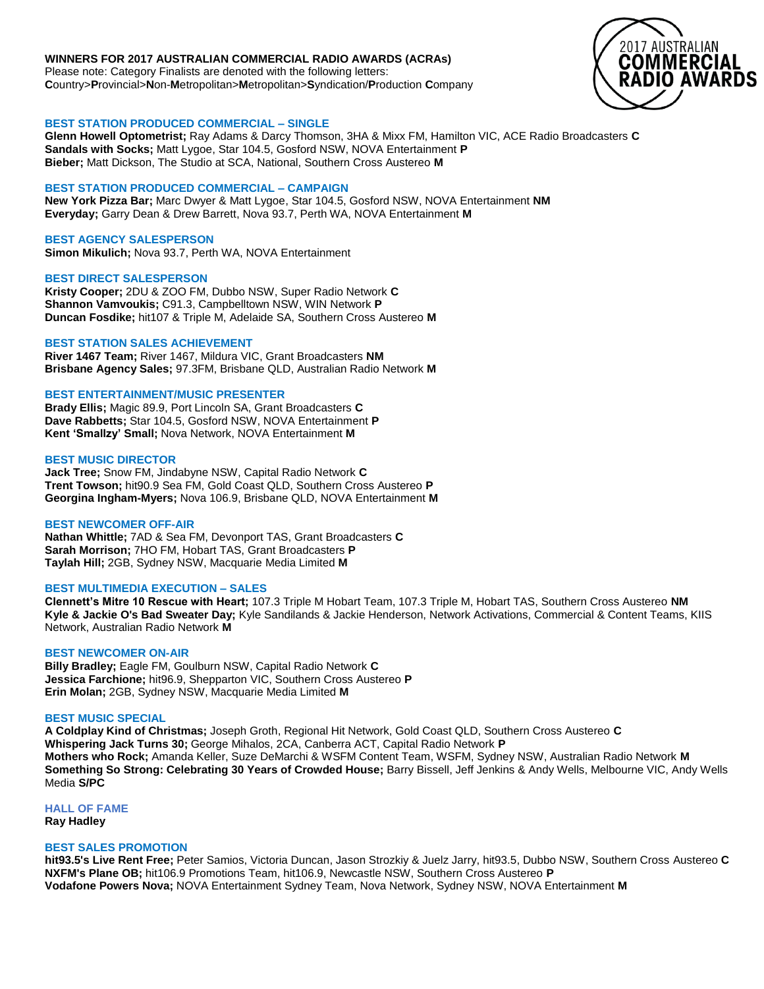# **WINNERS FOR 2017 AUSTRALIAN COMMERCIAL RADIO AWARDS (ACRAs)**

Please note: Category Finalists are denoted with the following letters: **C**ountry>**P**rovincial>**N**on-**M**etropolitan>**M**etropolitan>**S**yndication/**P**roduction **C**ompany



# **BEST STATION PRODUCED COMMERCIAL – SINGLE**

**Glenn Howell Optometrist;** Ray Adams & Darcy Thomson, 3HA & Mixx FM, Hamilton VIC, ACE Radio Broadcasters **C Sandals with Socks;** Matt Lygoe, Star 104.5, Gosford NSW, NOVA Entertainment **P Bieber;** Matt Dickson, The Studio at SCA, National, Southern Cross Austereo **M**

# **BEST STATION PRODUCED COMMERCIAL – CAMPAIGN**

**New York Pizza Bar;** Marc Dwyer & Matt Lygoe, Star 104.5, Gosford NSW, NOVA Entertainment **NM Everyday;** Garry Dean & Drew Barrett, Nova 93.7, Perth WA, NOVA Entertainment **M**

# **BEST AGENCY SALESPERSON**

**Simon Mikulich;** Nova 93.7, Perth WA, NOVA Entertainment

# **BEST DIRECT SALESPERSON**

**Kristy Cooper;** 2DU & ZOO FM, Dubbo NSW, Super Radio Network **C Shannon Vamvoukis;** C91.3, Campbelltown NSW, WIN Network **P Duncan Fosdike;** hit107 & Triple M, Adelaide SA, Southern Cross Austereo **M**

# **BEST STATION SALES ACHIEVEMENT**

**River 1467 Team;** River 1467, Mildura VIC, Grant Broadcasters **NM Brisbane Agency Sales;** 97.3FM, Brisbane QLD, Australian Radio Network **M**

# **BEST ENTERTAINMENT/MUSIC PRESENTER**

**Brady Ellis;** Magic 89.9, Port Lincoln SA, Grant Broadcasters **C Dave Rabbetts;** Star 104.5, Gosford NSW, NOVA Entertainment **P Kent 'Smallzy' Small;** Nova Network, NOVA Entertainment **M**

# **BEST MUSIC DIRECTOR**

**Jack Tree;** Snow FM, Jindabyne NSW, Capital Radio Network **C Trent Towson;** hit90.9 Sea FM, Gold Coast QLD, Southern Cross Austereo **P Georgina Ingham-Myers;** Nova 106.9, Brisbane QLD, NOVA Entertainment **M**

# **BEST NEWCOMER OFF-AIR**

**Nathan Whittle;** 7AD & Sea FM, Devonport TAS, Grant Broadcasters **C Sarah Morrison;** 7HO FM, Hobart TAS, Grant Broadcasters **P Taylah Hill;** 2GB, Sydney NSW, Macquarie Media Limited **M**

# **BEST MULTIMEDIA EXECUTION – SALES**

**Clennett's Mitre 10 Rescue with Heart;** 107.3 Triple M Hobart Team, 107.3 Triple M, Hobart TAS, Southern Cross Austereo **NM Kyle & Jackie O's Bad Sweater Day;** Kyle Sandilands & Jackie Henderson, Network Activations, Commercial & Content Teams, KIIS Network, Australian Radio Network **M**

# **BEST NEWCOMER ON-AIR**

**Billy Bradley;** Eagle FM, Goulburn NSW, Capital Radio Network **C Jessica Farchione;** hit96.9, Shepparton VIC, Southern Cross Austereo **P Erin Molan;** 2GB, Sydney NSW, Macquarie Media Limited **M**

# **BEST MUSIC SPECIAL**

**A Coldplay Kind of Christmas;** Joseph Groth, Regional Hit Network, Gold Coast QLD, Southern Cross Austereo **C Whispering Jack Turns 30;** George Mihalos, 2CA, Canberra ACT, Capital Radio Network **P Mothers who Rock;** Amanda Keller, Suze DeMarchi & WSFM Content Team, WSFM, Sydney NSW, Australian Radio Network **M Something So Strong: Celebrating 30 Years of Crowded House;** Barry Bissell, Jeff Jenkins & Andy Wells, Melbourne VIC, Andy Wells Media **S/PC**

**HALL OF FAME Ray Hadley**

# **BEST SALES PROMOTION**

**hit93.5's Live Rent Free;** Peter Samios, Victoria Duncan, Jason Strozkiy & Juelz Jarry, hit93.5, Dubbo NSW, Southern Cross Austereo **C NXFM's Plane OB;** hit106.9 Promotions Team, hit106.9, Newcastle NSW, Southern Cross Austereo **P Vodafone Powers Nova;** NOVA Entertainment Sydney Team, Nova Network, Sydney NSW, NOVA Entertainment **M**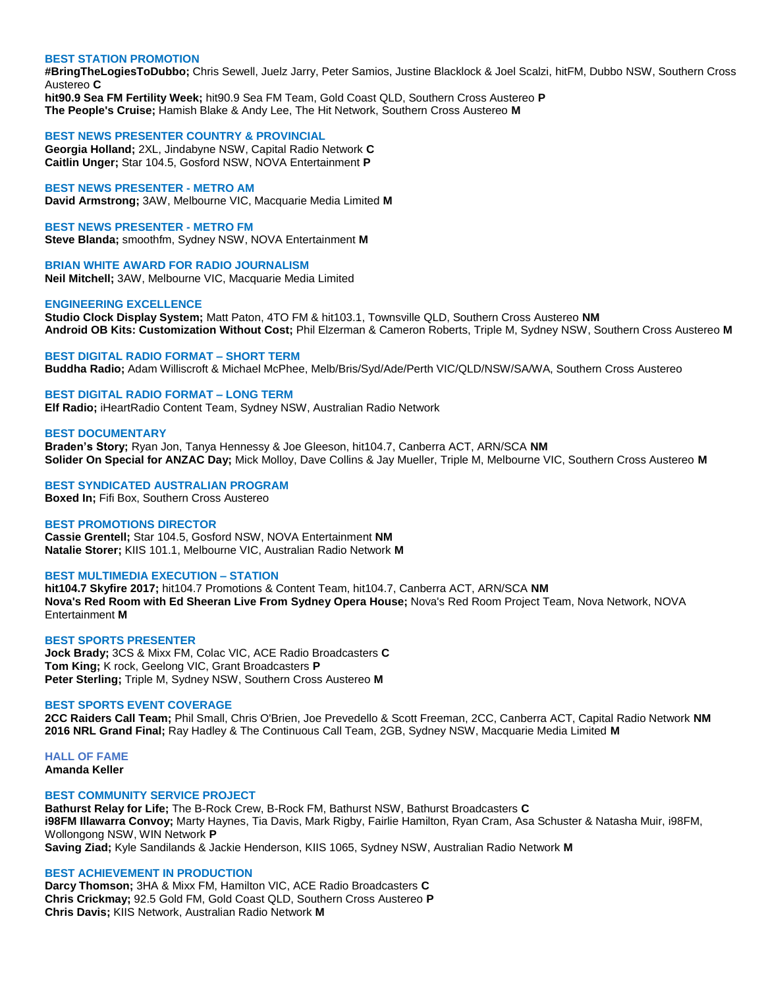# **BEST STATION PROMOTION**

**#BringTheLogiesToDubbo;** Chris Sewell, Juelz Jarry, Peter Samios, Justine Blacklock & Joel Scalzi, hitFM, Dubbo NSW, Southern Cross Austereo **C**

**hit90.9 Sea FM Fertility Week;** hit90.9 Sea FM Team, Gold Coast QLD, Southern Cross Austereo **P The People's Cruise;** Hamish Blake & Andy Lee, The Hit Network, Southern Cross Austereo **M**

#### **BEST NEWS PRESENTER COUNTRY & PROVINCIAL**

**Georgia Holland;** 2XL, Jindabyne NSW, Capital Radio Network **C Caitlin Unger;** Star 104.5, Gosford NSW, NOVA Entertainment **P**

# **BEST NEWS PRESENTER - METRO AM**

**David Armstrong;** 3AW, Melbourne VIC, Macquarie Media Limited **M**

**BEST NEWS PRESENTER - METRO FM Steve Blanda;** smoothfm, Sydney NSW, NOVA Entertainment **M**

**BRIAN WHITE AWARD FOR RADIO JOURNALISM Neil Mitchell;** 3AW, Melbourne VIC, Macquarie Media Limited

#### **ENGINEERING EXCELLENCE**

**Studio Clock Display System;** Matt Paton, 4TO FM & hit103.1, Townsville QLD, Southern Cross Austereo **NM Android OB Kits: Customization Without Cost;** Phil Elzerman & Cameron Roberts, Triple M, Sydney NSW, Southern Cross Austereo **M**

**BEST DIGITAL RADIO FORMAT – SHORT TERM Buddha Radio;** Adam Williscroft & Michael McPhee, Melb/Bris/Syd/Ade/Perth VIC/QLD/NSW/SA/WA, Southern Cross Austereo

**BEST DIGITAL RADIO FORMAT – LONG TERM Elf Radio;** iHeartRadio Content Team, Sydney NSW, Australian Radio Network

# **BEST DOCUMENTARY**

**Braden's Story;** Ryan Jon, Tanya Hennessy & Joe Gleeson, hit104.7, Canberra ACT, ARN/SCA **NM Solider On Special for ANZAC Day;** Mick Molloy, Dave Collins & Jay Mueller, Triple M, Melbourne VIC, Southern Cross Austereo **M**

**BEST SYNDICATED AUSTRALIAN PROGRAM**

**Boxed In;** Fifi Box, Southern Cross Austereo

# **BEST PROMOTIONS DIRECTOR**

**Cassie Grentell;** Star 104.5, Gosford NSW, NOVA Entertainment **NM Natalie Storer;** KIIS 101.1, Melbourne VIC, Australian Radio Network **M**

# **BEST MULTIMEDIA EXECUTION – STATION**

**hit104.7 Skyfire 2017;** hit104.7 Promotions & Content Team, hit104.7, Canberra ACT, ARN/SCA **NM Nova's Red Room with Ed Sheeran Live From Sydney Opera House;** Nova's Red Room Project Team, Nova Network, NOVA Entertainment **M**

# **BEST SPORTS PRESENTER**

**Jock Brady;** 3CS & Mixx FM, Colac VIC, ACE Radio Broadcasters **C Tom King;** K rock, Geelong VIC, Grant Broadcasters **P Peter Sterling;** Triple M, Sydney NSW, Southern Cross Austereo **M**

# **BEST SPORTS EVENT COVERAGE**

**2CC Raiders Call Team;** Phil Small, Chris O'Brien, Joe Prevedello & Scott Freeman, 2CC, Canberra ACT, Capital Radio Network **NM 2016 NRL Grand Final;** Ray Hadley & The Continuous Call Team, 2GB, Sydney NSW, Macquarie Media Limited **M**

**HALL OF FAME Amanda Keller**

#### **BEST COMMUNITY SERVICE PROJECT**

**Bathurst Relay for Life;** The B-Rock Crew, B-Rock FM, Bathurst NSW, Bathurst Broadcasters **C i98FM Illawarra Convoy;** Marty Haynes, Tia Davis, Mark Rigby, Fairlie Hamilton, Ryan Cram, Asa Schuster & Natasha Muir, i98FM, Wollongong NSW, WIN Network **P Saving Ziad;** Kyle Sandilands & Jackie Henderson, KIIS 1065, Sydney NSW, Australian Radio Network **M**

# **BEST ACHIEVEMENT IN PRODUCTION**

**Darcy Thomson;** 3HA & Mixx FM, Hamilton VIC, ACE Radio Broadcasters **C Chris Crickmay;** 92.5 Gold FM, Gold Coast QLD, Southern Cross Austereo **P Chris Davis;** KIIS Network, Australian Radio Network **M**